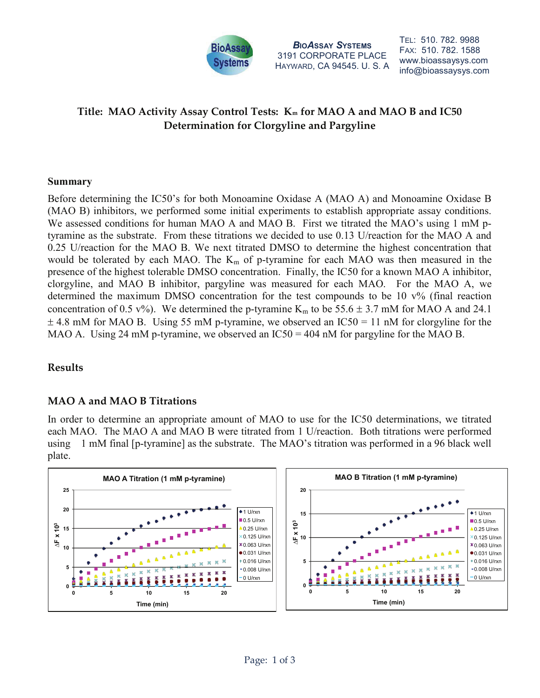

BIOASSAY SYSTEMS 3191 CORPORATE PLACE HAYWARD, CA 94545. U. S. A TEL: 510. 782. 9988 FAX: 510. 782. 1588 www.bioassaysys.com info@bioassaysys.com

# Title: MAO Activity Assay Control Tests: K<sub>m</sub> for MAO A and MAO B and IC50 Determination for Clorgyline and Pargyline

#### Summary

Before determining the IC50's for both Monoamine Oxidase A (MAO A) and Monoamine Oxidase B (MAO B) inhibitors, we performed some initial experiments to establish appropriate assay conditions. We assessed conditions for human MAO A and MAO B. First we titrated the MAO's using 1 mM ptyramine as the substrate. From these titrations we decided to use 0.13 U/reaction for the MAO A and 0.25 U/reaction for the MAO B. We next titrated DMSO to determine the highest concentration that would be tolerated by each MAO. The  $K_m$  of p-tyramine for each MAO was then measured in the presence of the highest tolerable DMSO concentration. Finally, the IC50 for a known MAO A inhibitor, clorgyline, and MAO B inhibitor, pargyline was measured for each MAO. For the MAO A, we determined the maximum DMSO concentration for the test compounds to be 10 v% (final reaction concentration of 0.5 v%). We determined the p-tyramine K<sub>m</sub> to be 55.6  $\pm$  3.7 mM for MAO A and 24.1  $\pm$  4.8 mM for MAO B. Using 55 mM p-tyramine, we observed an IC50 = 11 nM for clorgyline for the MAO A. Using 24 mM p-tyramine, we observed an  $IC50 = 404$  nM for pargyline for the MAO B.

## Results

## MAO A and MAO B Titrations

In order to determine an appropriate amount of MAO to use for the IC50 determinations, we titrated each MAO. The MAO A and MAO B were titrated from 1 U/reaction. Both titrations were performed using 1 mM final [p-tyramine] as the substrate. The MAO's titration was performed in a 96 black well plate.

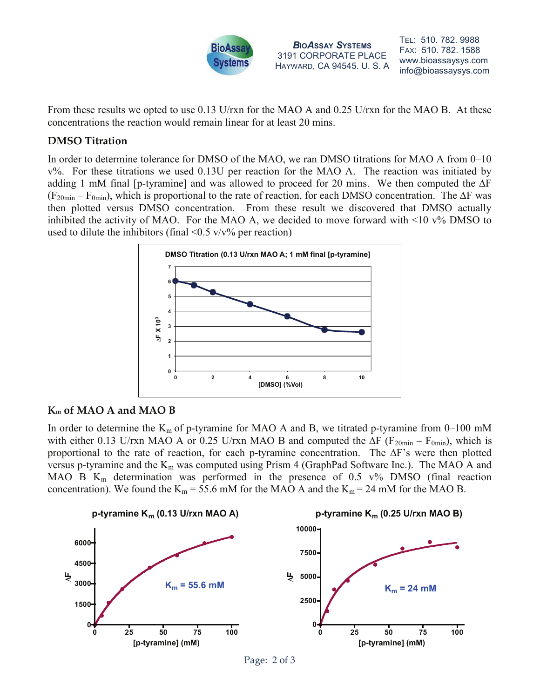

BIOASSAY SYSTEMS 3191 CORPORATE PLACE HAYWARD, CA 94545. U. S. A TEL: 510. 782. 9988 FAX: 510. 782. 1588 www.bioassaysys.com info@bioassaysys.com

From these results we opted to use 0.13 U/rxn for the MAO A and 0.25 U/rxn for the MAO B. At these concentrations the reaction would remain linear for at least 20 mins.

## DMSO Titration

In order to determine tolerance for DMSO of the MAO, we ran DMSO titrations for MAO A from 0–10 v%. For these titrations we used 0.13U per reaction for the MAO A. The reaction was initiated by adding 1 mM final [p-tyramine] and was allowed to proceed for 20 mins. We then computed the ∆F  $(F_{20min} - F_{0min})$ , which is proportional to the rate of reaction, for each DMSO concentration. The ∆F was then plotted versus DMSO concentration. From these result we discovered that DMSO actually inhibited the activity of MAO. For the MAO A, we decided to move forward with  $\leq 10$  v% DMSO to used to dilute the inhibitors (final  $\leq 0.5$  v/v% per reaction)



## Km of MAO A and MAO B

In order to determine the  $K_m$  of p-tyramine for MAO A and B, we titrated p-tyramine from 0–100 mM with either 0.13 U/rxn MAO A or 0.25 U/rxn MAO B and computed the  $\Delta F$  (F<sub>20min</sub> – F<sub>0min</sub>), which is proportional to the rate of reaction, for each p-tyramine concentration. The ∆F's were then plotted versus p-tyramine and the  $K_m$  was computed using Prism 4 (GraphPad Software Inc.). The MAO A and MAO B  $K_m$  determination was performed in the presence of 0.5 v% DMSO (final reaction concentration). We found the  $K_m = 55.6$  mM for the MAO A and the  $K_m = 24$  mM for the MAO B.